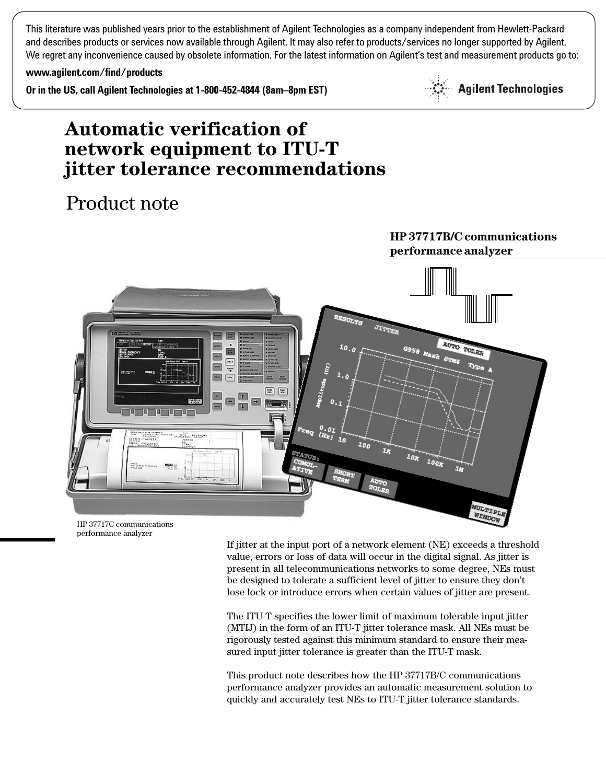This literature was published years prior to the establishment of Agilent Technologies as a company independent from Hewlett-Packard and describes products or services now available through Agilent. It may also refer to products/services no longer supported by Agilent. We regret any inconvenience caused by obsolete information. For the latest information on Agilent's test and measurement products go to:

**www.agilent.com/find/products**

**Or in the US, call Agilent Technologies at 1-800-452-4844 (8am–8pm EST)**



**HP 37717B/C communications**

# **Automatic verification of network equipment to ITU-T jitter tolerance recommendations**

# Product note



HP 37717C communications performance analyzer

> If jitter at the input port of a network element (NE) exceeds a threshold value, errors or loss of data will occur in the digital signal. As jitter is present in all telecommunications networks to some degree, NEs must be designed to tolerate a sufficient level of jitter to ensure they don't lose lock or introduce errors when certain values of jitter are present.

The ITU-T specifies the lower limit of maximum tolerable input jitter (MTIJ) in the form of an ITU-T jitter tolerance mask. All NEs must be rigorously tested against this minimum standard to ensure their measured input jitter tolerance is greater than the ITU-T mask.

This product note describes how the HP 37717B/C communications performance analyzer provides an automatic measurement solution to quickly and accurately test NEs to ITU-T jitter tolerance standards.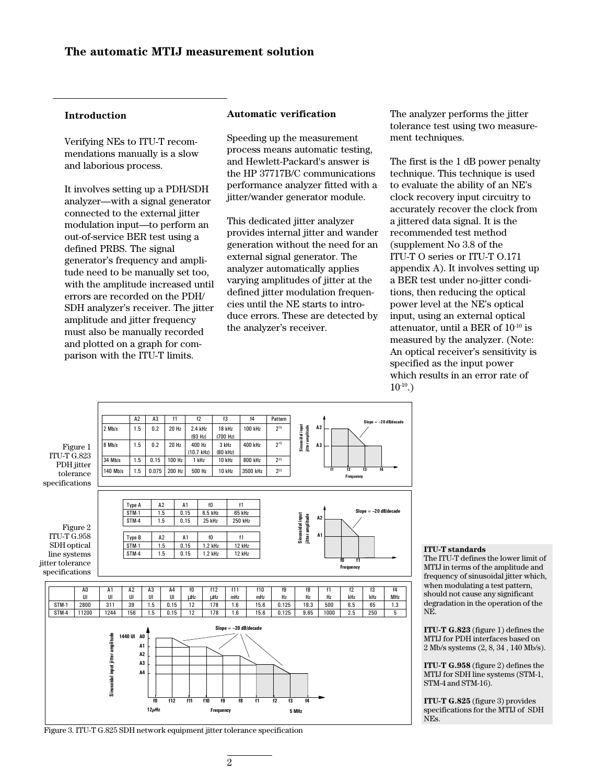## **Introduction**

Verifying NEs to ITU-T recommendations manually is a slow and laborious process.

It involves setting up a PDH/SDH analyzer—with a signal generator connected to the external jitter modulation input—to perform an out-of-service BER test using a defined PRBS. The signal generator's frequency and amplitude need to be manually set too, with the amplitude increased until errors are recorded on the PDH/ SDH analyzer's receiver. The jitter amplitude and jitter frequency must also be manually recorded and plotted on a graph for comparison with the ITU-T limits.

## **Automatic verification**

Speeding up the measurement process means automatic testing, and Hewlett-Packard's answer is the HP 37717B/C communications performance analyzer fitted with a jitter/wander generator module.

This dedicated jitter analyzer provides internal jitter and wander generation without the need for an external signal generator. The analyzer automatically applies varying amplitudes of jitter at the defined jitter modulation frequencies until the NE starts to introduce errors. These are detected by the analyzer's receiver.

The analyzer performs the jitter tolerance test using two measurement techniques.

The first is the 1 dB power penalty technique. This technique is used to evaluate the ability of an NE's clock recovery input circuitry to accurately recover the clock from a jittered data signal. It is the recommended test method (supplement No 3.8 of the ITU-T O series or ITU-T O.171 appendix A). It involves setting up a BER test under no-jitter conditions, then reducing the optical power level at the NE's optical input, using an external optical attenuator, until a BER of 10-10 is measured by the analyzer. (Note: An optical receiver's sensitivity is specified as the input power which results in an error rate of  $10^{-10}$ .)



#### **ITU-T standards** The ITU-T defines the lower limit of

MTIJ in terms of the amplitude and frequency of sinusoidal jitter which, when modulating a test pattern, should not cause any significant degradation in the operation of the NE.

**ITU-T G.823** (figure 1) defines the MTIJ for PDH interfaces based on 2 Mb/s systems (2, 8, 34 , 140 Mb/s).

**ITU-T G.958** (figure 2) defines the MTIJ for SDH line systems (STM-1, STM-4 and STM-16).

**ITU-T G.825** (figure 3) provides specifications for the MTIJ of SDH NEs.

Figure 3. ITU-T G.825 SDH network equipment jitter tolerance specification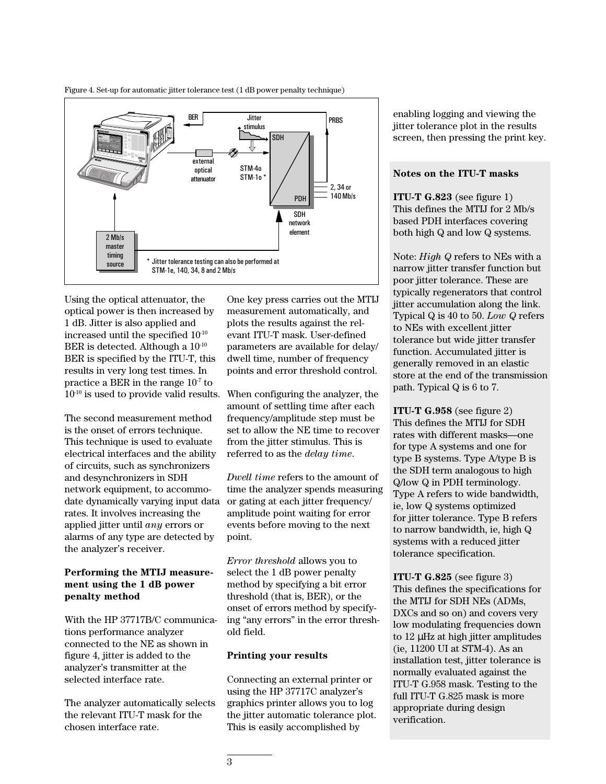Figure 4. Set-up for automatic jitter tolerance test (1 dB power penalty technique)



Using the optical attenuator, the optical power is then increased by 1 dB. Jitter is also applied and increased until the specified 10-10 BER is detected. Although a  $10^{-10}$ BER is specified by the ITU-T, this results in very long test times. In practice a BER in the range  $10<sup>-7</sup>$  to  $10^{-10}$  is used to provide valid results.

The second measurement method is the onset of errors technique. This technique is used to evaluate electrical interfaces and the ability of circuits, such as synchronizers and desynchronizers in SDH network equipment, to accommodate dynamically varying input data rates. It involves increasing the applied jitter until *any* errors or alarms of any type are detected by the analyzer's receiver.

# **Performing the MTIJ measurement using the 1 dB power penalty method**

With the HP 37717B/C communications performance analyzer connected to the NE as shown in figure 4, jitter is added to the analyzer's transmitter at the selected interface rate.

The analyzer automatically selects the relevant ITU-T mask for the chosen interface rate.

One key press carries out the MTIJ measurement automatically, and plots the results against the relevant ITU-T mask. User-defined parameters are available for delay/ dwell time, number of frequency points and error threshold control.

When configuring the analyzer, the amount of settling time after each frequency/amplitude step must be set to allow the NE time to recover from the jitter stimulus. This is referred to as the *delay time*.

*Dwell time* refers to the amount of time the analyzer spends measuring or gating at each jitter frequency/ amplitude point waiting for error events before moving to the next point.

*Error threshold* allows you to select the 1 dB power penalty method by specifying a bit error threshold (that is, BER), or the onset of errors method by specifying "any errors" in the error threshold field.

# **Printing your results**

Connecting an external printer or using the HP 37717C analyzer's graphics printer allows you to log the jitter automatic tolerance plot. This is easily accomplished by

enabling logging and viewing the jitter tolerance plot in the results screen, then pressing the print key.

## **Notes on the ITU-T masks**

**ITU-T G.823** (see figure 1) This defines the MTIJ for 2 Mb/s based PDH interfaces covering both high Q and low Q systems.

Note: *High Q* refers to NEs with a narrow jitter transfer function but poor jitter tolerance. These are typically regenerators that control jitter accumulation along the link. Typical Q is 40 to 50. *Low Q* refers to NEs with excellent jitter tolerance but wide jitter transfer function. Accumulated jitter is generally removed in an elastic store at the end of the transmission path. Typical Q is 6 to 7.

**ITU-T G.958** (see figure 2) This defines the MTIJ for SDH rates with different masks—one for type A systems and one for type B systems. Type A/type B is the SDH term analogous to high Q/low Q in PDH terminology. Type A refers to wide bandwidth, ie, low Q systems optimized for jitter tolerance. Type B refers to narrow bandwidth, ie, high Q systems with a reduced jitter tolerance specification.

**ITU-T G.825** (see figure 3) This defines the specifications for the MTIJ for SDH NEs (ADMs, DXCs and so on) and covers very low modulating frequencies down to 12 µHz at high jitter amplitudes (ie, 11200 UI at STM-4). As an installation test, jitter tolerance is normally evaluated against the ITU-T G.958 mask. Testing to the full ITU-T G.825 mask is more appropriate during design verification.